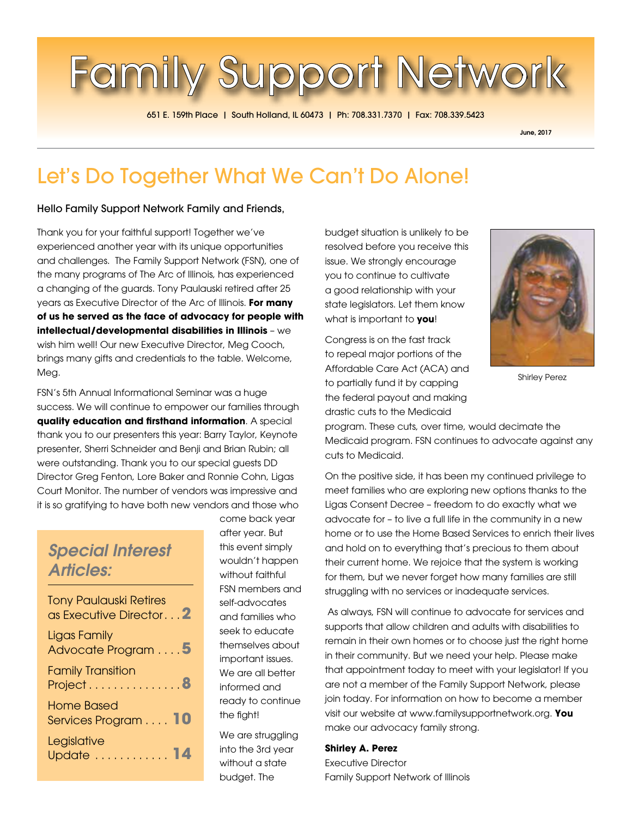# **Family Support Network**

651 E. 159th Place | South Holland, IL 60473 | Ph: 708.331.7370 | Fax: 708.339.5423

June, 2017

# Let's Do Together What We Can't Do Alone!

Hello Family Support Network Family and Friends,

Thank you for your faithful support! Together we've experienced another year with its unique opportunities and challenges. The Family Support Network (FSN), one of the many programs of The Arc of Illinois, has experienced a changing of the guards. Tony Paulauski retired after 25 years as Executive Director of the Arc of Illinois. **For many of us he served as the face of advocacy for people with intellectual/developmental disabilities in Illinois** – we wish him well! Our new Executive Director, Meg Cooch, brings many gifts and credentials to the table. Welcome, Meg.

FSN's 5th Annual Informational Seminar was a huge success. We will continue to empower our families through **quality education and firsthand information**. A special thank you to our presenters this year: Barry Taylor, Keynote presenter, Sherri Schneider and Benji and Brian Rubin; all were outstanding. Thank you to our special guests DD Director Greg Fenton, Lore Baker and Ronnie Cohn, Ligas Court Monitor. The number of vendors was impressive and it is so gratifying to have both new vendors and those who

# *Special Interest Articles:*

| <b>Tony Paulauski Retires</b><br>as Executive Director <sup>2</sup> |
|---------------------------------------------------------------------|
| Ligas Family<br>Advocate Program 5                                  |
| <b>Family Transition</b><br>Project8                                |
| <b>Home Based</b><br>Services Program 10                            |
| Legislative<br>Update 1                                             |

come back year after year. But this event simply wouldn't happen without faithful FSN members and self-advocates and families who seek to educate themselves about important issues. We are all better informed and ready to continue the fight!

We are struggling into the 3rd year without a state budget. The

budget situation is unlikely to be resolved before you receive this issue. We strongly encourage you to continue to cultivate a good relationship with your state legislators. Let them know what is important to **you**!

Congress is on the fast track to repeal major portions of the Affordable Care Act (ACA) and to partially fund it by capping the federal payout and making drastic cuts to the Medicaid



Shirley Perez

program. These cuts, over time, would decimate the Medicaid program. FSN continues to advocate against any cuts to Medicaid.

On the positive side, it has been my continued privilege to meet families who are exploring new options thanks to the Ligas Consent Decree – freedom to do exactly what we advocate for – to live a full life in the community in a new home or to use the Home Based Services to enrich their lives and hold on to everything that's precious to them about their current home. We rejoice that the system is working for them, but we never forget how many families are still struggling with no services or inadequate services.

 As always, FSN will continue to advocate for services and supports that allow children and adults with disabilities to remain in their own homes or to choose just the right home in their community. But we need your help. Please make that appointment today to meet with your legislator! If you are not a member of the Family Support Network, please join today. For information on how to become a member visit our website at www.familysupportnetwork.org. **You**  make our advocacy family strong.

#### **Shirley A. Perez** Executive Director Family Support Network of Illinois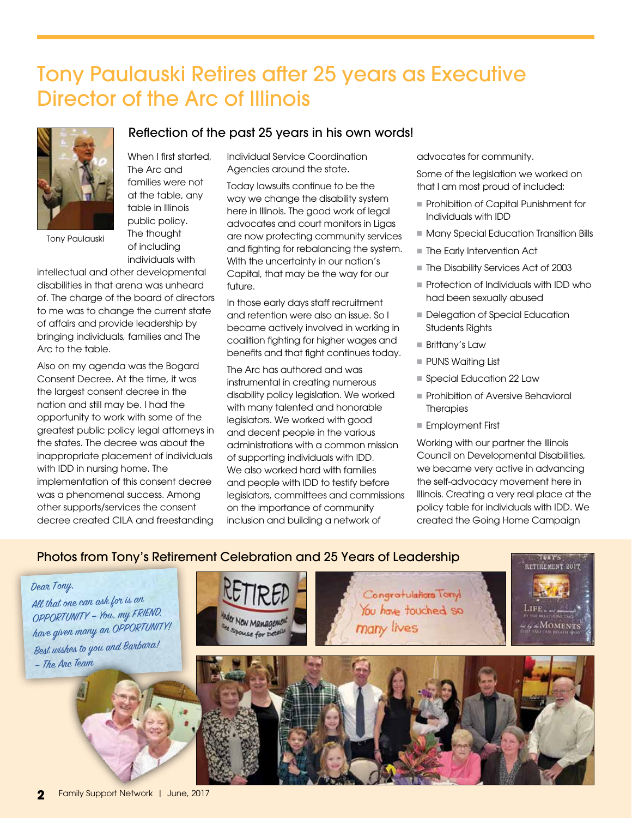# Tony Paulauski Retires after 25 years as Executive Director of the Arc of Illinois

Reflection of the past 25 years in his own words!



Tony Paulauski

When I first started, The Arc and families were not at the table, any table in Illinois public policy. The thought of including individuals with

intellectual and other developmental disabilities in that arena was unheard of. The charge of the board of directors to me was to change the current state of affairs and provide leadership by bringing individuals, families and The Arc to the table.

Also on my agenda was the Bogard Consent Decree. At the time, it was the largest consent decree in the nation and still may be. I had the opportunity to work with some of the greatest public policy legal attorneys in the states. The decree was about the inappropriate placement of individuals with IDD in nursing home. The implementation of this consent decree was a phenomenal success. Among other supports/services the consent decree created CILA and freestanding

Individual Service Coordination Agencies around the state.

Today lawsuits continue to be the way we change the disability system here in Illinois. The good work of legal advocates and court monitors in Ligas are now protecting community services and fighting for rebalancing the system. With the uncertainty in our nation's Capital, that may be the way for our future.

In those early days staff recruitment and retention were also an issue. So I became actively involved in working in coalition fighting for higher wages and benefits and that fight continues today.

The Arc has authored and was instrumental in creating numerous disability policy legislation. We worked with many talented and honorable legislators. We worked with good and decent people in the various administrations with a common mission of supporting individuals with IDD. We also worked hard with families and people with IDD to testify before legislators, committees and commissions on the importance of community inclusion and building a network of

advocates for community.

Some of the legislation we worked on that I am most proud of included:

- **Prohibition of Capital Punishment for** Individuals with IDD
- **n** Many Special Education Transition Bills
- The Early Intervention Act
- The Disability Services Act of 2003
- $\blacksquare$  Protection of Individuals with IDD who had been sexually abused
- **Delegation of Special Education** Students Rights
- Brittany's Law
- **PUNS Waiting List**
- Special Education 22 Law
- **Prohibition of Aversive Behavioral Therapies**
- Employment First

Working with our partner the Illinois Council on Developmental Disabilities, we became very active in advancing the self-advocacy movement here in Illinois. Creating a very real place at the policy table for individuals with IDD. We created the Going Home Campaign

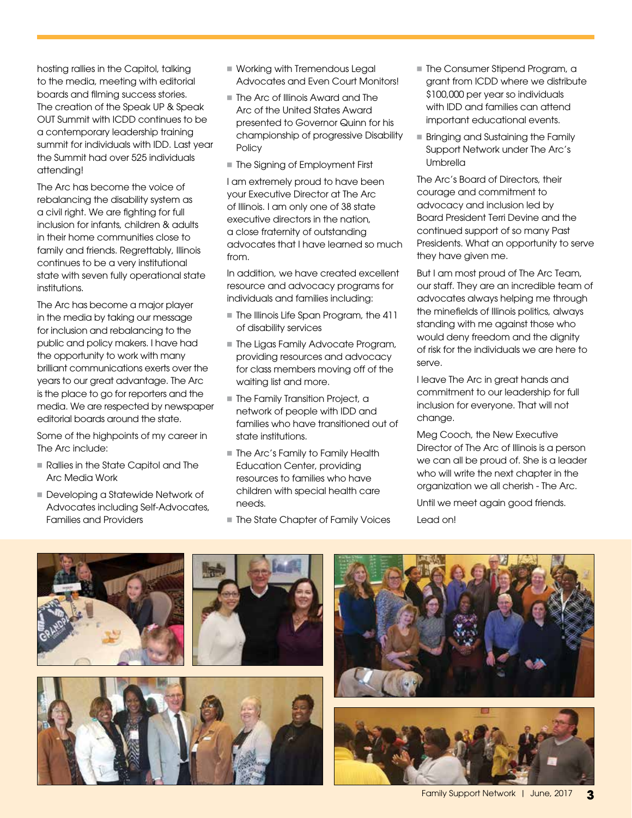hosting rallies in the Capitol, talking to the media, meeting with editorial boards and filming success stories. The creation of the Speak UP & Speak OUT Summit with ICDD continues to be a contemporary leadership training summit for individuals with IDD. Last year the Summit had over 525 individuals attending!

The Arc has become the voice of rebalancing the disability system as a civil right. We are fighting for full inclusion for infants, children & adults in their home communities close to family and friends. Regrettably, Illinois continues to be a very institutional state with seven fully operational state institutions.

The Arc has become a major player in the media by taking our message for inclusion and rebalancing to the public and policy makers. I have had the opportunity to work with many brilliant communications exerts over the years to our great advantage. The Arc is the place to go for reporters and the media. We are respected by newspaper editorial boards around the state.

Some of the highpoints of my career in The Arc include:

- n Rallies in the State Capitol and The Arc Media Work
- Developing a Statewide Network of Advocates including Self-Advocates, Families and Providers
- **Norking with Tremendous Legal** Advocates and Even Court Monitors!
- $\blacksquare$  The Arc of Illinois Award and The Arc of the United States Award presented to Governor Quinn for his championship of progressive Disability **Policy**
- **n** The Signing of Employment First

I am extremely proud to have been your Executive Director at The Arc of Illinois. I am only one of 38 state executive directors in the nation, a close fraternity of outstanding advocates that I have learned so much from.

In addition, we have created excellent resource and advocacy programs for individuals and families including:

- The Illinois Life Span Program, the 411 of disability services
- **n The Ligas Family Advocate Program,** providing resources and advocacy for class members moving off of the waiting list and more.
- **n** The Family Transition Project, a network of people with IDD and families who have transitioned out of state institutions.
- **The Arc's Family to Family Health** Education Center, providing resources to families who have children with special health care needs.
- The State Chapter of Family Voices
- The Consumer Stipend Program, a grant from ICDD where we distribute \$100,000 per year so individuals with IDD and families can attend important educational events.
- **Bringing and Sustaining the Family** Support Network under The Arc's Umbrella

The Arc's Board of Directors, their courage and commitment to advocacy and inclusion led by Board President Terri Devine and the continued support of so many Past Presidents. What an opportunity to serve they have given me.

But I am most proud of The Arc Team, our staff. They are an incredible team of advocates always helping me through the minefields of Illinois politics, always standing with me against those who would deny freedom and the dignity of risk for the individuals we are here to serve.

I leave The Arc in great hands and commitment to our leadership for full inclusion for everyone. That will not change.

Meg Cooch, the New Executive Director of The Arc of Illinois is a person we can all be proud of. She is a leader who will write the next chapter in the organization we all cherish - The Arc.

Until we meet again good friends. Lead on!





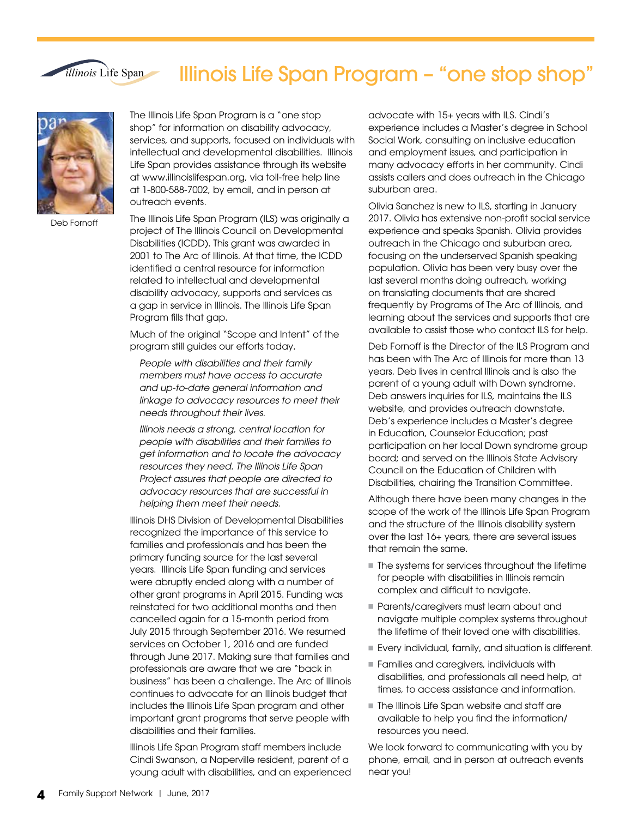# Illinois Life Span Program – "one stop shop"



*illinois* Life Span

Deb Fornoff

The Illinois Life Span Program is a "one stop shop" for information on disability advocacy, services, and supports, focused on individuals with intellectual and developmental disabilities. Illinois Life Span provides assistance through its website at www.illinoislifespan.org, via toll-free help line at 1-800-588-7002, by email, and in person at outreach events.

The Illinois Life Span Program (ILS) was originally a project of The Illinois Council on Developmental Disabilities (ICDD). This grant was awarded in 2001 to The Arc of Illinois. At that time, the ICDD identified a central resource for information related to intellectual and developmental disability advocacy, supports and services as a gap in service in Illinois. The Illinois Life Span Program fills that gap.

Much of the original "Scope and Intent" of the program still guides our efforts today.

*People with disabilities and their family members must have access to accurate and up-to-date general information and linkage to advocacy resources to meet their needs throughout their lives.*

*Illinois needs a strong, central location for people with disabilities and their families to get information and to locate the advocacy resources they need. The Illinois Life Span Project assures that people are directed to advocacy resources that are successful in helping them meet their needs.*

Illinois DHS Division of Developmental Disabilities recognized the importance of this service to families and professionals and has been the primary funding source for the last several years. Illinois Life Span funding and services were abruptly ended along with a number of other grant programs in April 2015. Funding was reinstated for two additional months and then cancelled again for a 15-month period from July 2015 through September 2016. We resumed services on October 1, 2016 and are funded through June 2017. Making sure that families and professionals are aware that we are "back in business" has been a challenge. The Arc of Illinois continues to advocate for an Illinois budget that includes the Illinois Life Span program and other important grant programs that serve people with disabilities and their families.

Illinois Life Span Program staff members include Cindi Swanson, a Naperville resident, parent of a young adult with disabilities, and an experienced

advocate with 15+ years with ILS. Cindi's experience includes a Master's degree in School Social Work, consulting on inclusive education and employment issues, and participation in many advocacy efforts in her community. Cindi assists callers and does outreach in the Chicago suburban area.

Olivia Sanchez is new to ILS, starting in January 2017. Olivia has extensive non-profit social service experience and speaks Spanish. Olivia provides outreach in the Chicago and suburban area, focusing on the underserved Spanish speaking population. Olivia has been very busy over the last several months doing outreach, working on translating documents that are shared frequently by Programs of The Arc of Illinois, and learning about the services and supports that are available to assist those who contact ILS for help.

Deb Fornoff is the Director of the ILS Program and has been with The Arc of Illinois for more than 13 years. Deb lives in central Illinois and is also the parent of a young adult with Down syndrome. Deb answers inquiries for ILS, maintains the ILS website, and provides outreach downstate. Deb's experience includes a Master's degree in Education, Counselor Education; past participation on her local Down syndrome group board; and served on the Illinois State Advisory Council on the Education of Children with Disabilities, chairing the Transition Committee.

Although there have been many changes in the scope of the work of the Illinois Life Span Program and the structure of the Illinois disability system over the last 16+ years, there are several issues that remain the same.

- $\blacksquare$  The systems for services throughout the lifetime for people with disabilities in Illinois remain complex and difficult to navigate.
- **Parents/caregivers must learn about and** navigate multiple complex systems throughout the lifetime of their loved one with disabilities.
- n Every individual, family, and situation is different.
- **Families and caregivers, individuals with** disabilities, and professionals all need help, at times, to access assistance and information.
- $\blacksquare$  The Illinois Life Span website and staff are available to help you find the information/ resources you need.

We look forward to communicating with you by phone, email, and in person at outreach events near you!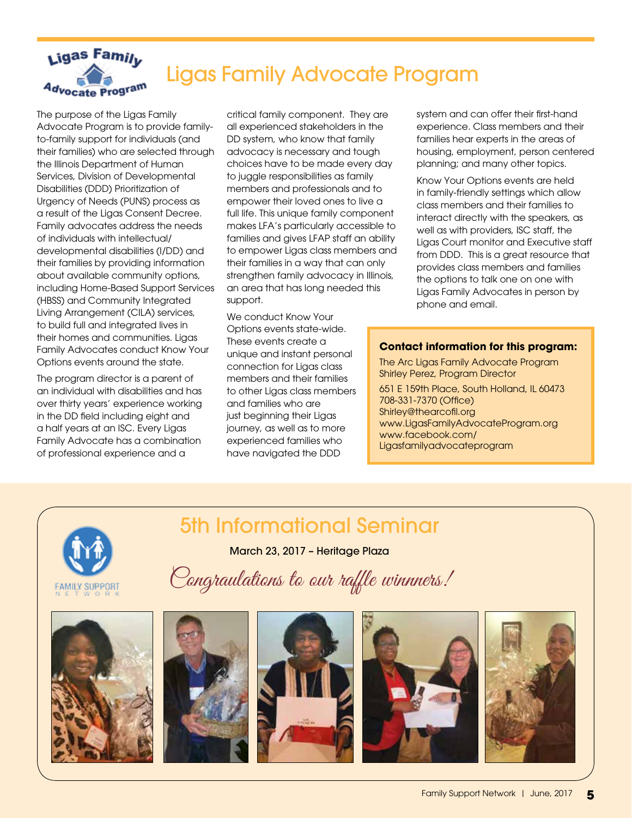

# Ligas Family Advocate Program

The purpose of the Ligas Family Advocate Program is to provide familyto-family support for individuals (and their families) who are selected through the Illinois Department of Human Services, Division of Developmental Disabilities (DDD) Prioritization of Urgency of Needs (PUNS) process as a result of the Ligas Consent Decree. Family advocates address the needs of individuals with intellectual/ developmental disabilities (I/DD) and their families by providing information about available community options, including Home-Based Support Services (HBSS) and Community Integrated Living Arrangement (CILA) services, to build full and integrated lives in their homes and communities. Ligas Family Advocates conduct Know Your Options events around the state.

The program director is a parent of an individual with disabilities and has over thirty years' experience working in the DD field including eight and a half years at an ISC. Every Ligas Family Advocate has a combination of professional experience and a

critical family component. They are all experienced stakeholders in the DD system, who know that family advocacy is necessary and tough choices have to be made every day to juggle responsibilities as family members and professionals and to empower their loved ones to live a full life. This unique family component makes LFA's particularly accessible to families and gives LFAP staff an ability to empower Ligas class members and their families in a way that can only strengthen family advocacy in Illinois, an area that has long needed this support.

We conduct Know Your Options events state-wide. These events create a unique and instant personal connection for Ligas class members and their families to other Ligas class members and families who are just beginning their Ligas journey, as well as to more experienced families who have navigated the DDD

system and can offer their first-hand experience. Class members and their families hear experts in the areas of housing, employment, person centered planning; and many other topics.

Know Your Options events are held in family-friendly settings which allow class members and their families to interact directly with the speakers, as well as with providers, ISC staff, the Ligas Court monitor and Executive staff from DDD. This is a great resource that provides class members and families the options to talk one on one with Ligas Family Advocates in person by phone and email.

#### **Contact information for this program:**

The Arc Ligas Family Advocate Program Shirley Perez, Program Director

651 E 159th Place, South Holland, IL 60473 708-331-7370 (Office) Shirley@thearcofil.org www.LigasFamilyAdvocateProgram.org www.facebook.com/ Ligasfamilyadvocateprogram









5th Informational Seminar

March 23, 2017 – Heritage Plaza

Congraulations to our raffle winnners!



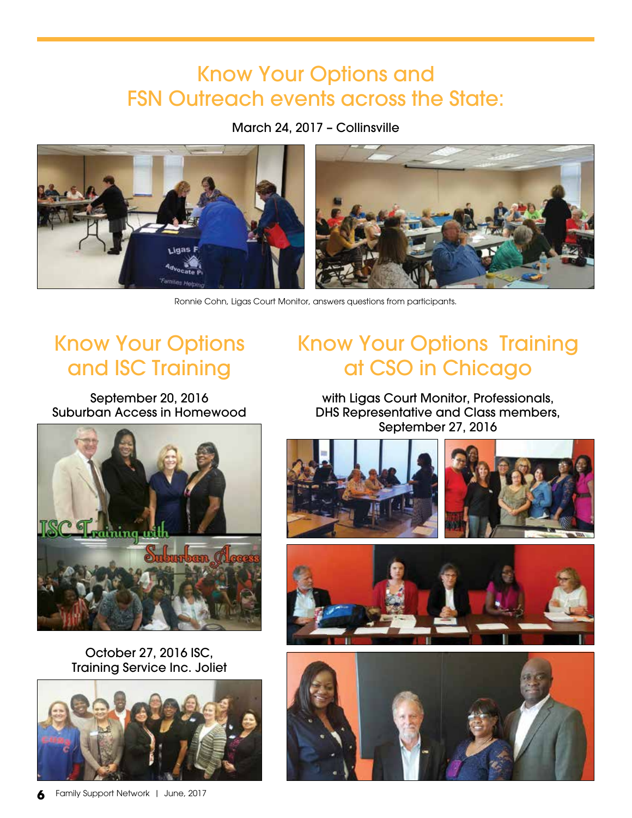# Know Your Options and FSN Outreach events across the State:

March 24, 2017 – Collinsville



Ronnie Cohn, Ligas Court Monitor, answers questions from participants.

# Know Your Options and ISC Training

September 20, 2016 Suburban Access in Homewood



October 27, 2016 ISC, Training Service Inc. Joliet



# Know Your Options Training at CSO in Chicago

with Ligas Court Monitor, Professionals, DHS Representative and Class members, September 27, 2016





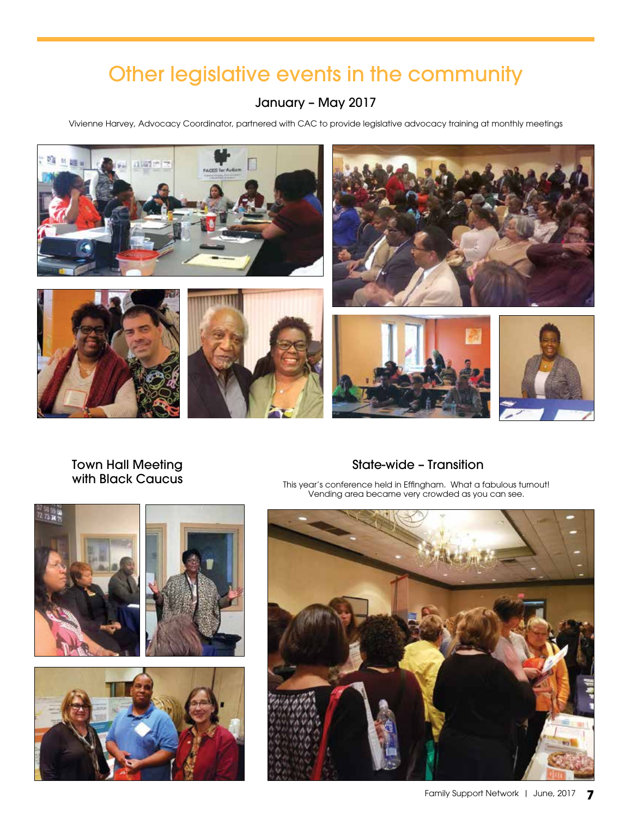# Other legislative events in the community

### January – May 2017

Vivienne Harvey, Advocacy Coordinator, partnered with CAC to provide legislative advocacy training at monthly meetings



### Town Hall Meeting with Black Caucus

### State-wide – Transition

This year's conference held in Effingham. What a fabulous turnout! Vending area became very crowded as you can see.



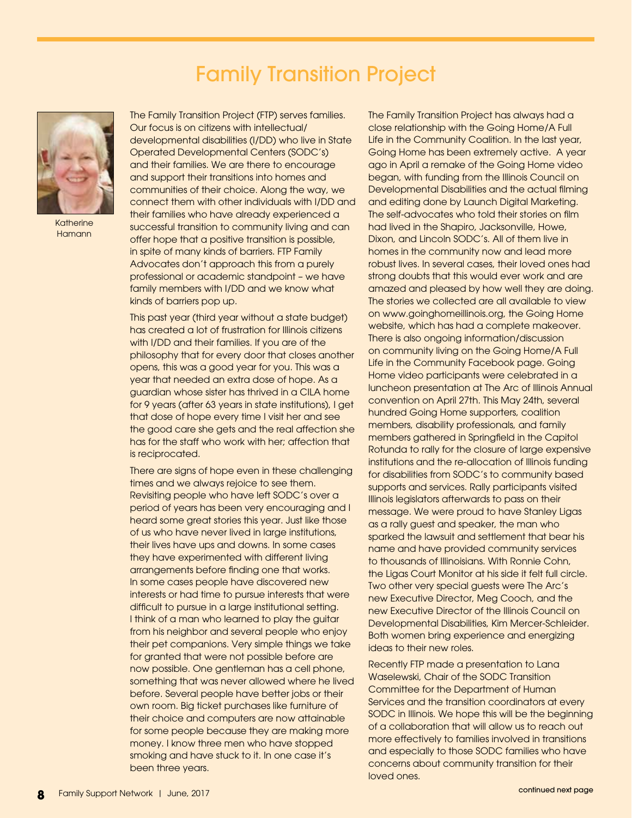# Family Transition Project



Katherine **Hamann** 

The Family Transition Project (FTP) serves families. Our focus is on citizens with intellectual/ developmental disabilities (I/DD) who live in State Operated Developmental Centers (SODC's) and their families. We are there to encourage and support their transitions into homes and communities of their choice. Along the way, we connect them with other individuals with I/DD and their families who have already experienced a successful transition to community living and can offer hope that a positive transition is possible, in spite of many kinds of barriers. FTP Family Advocates don't approach this from a purely professional or academic standpoint – we have family members with I/DD and we know what kinds of barriers pop up.

This past year (third year without a state budget) has created a lot of frustration for Illinois citizens with I/DD and their families. If you are of the philosophy that for every door that closes another opens, this was a good year for you. This was a year that needed an extra dose of hope. As a guardian whose sister has thrived in a CILA home for 9 years (after 63 years in state institutions), I get that dose of hope every time I visit her and see the good care she gets and the real affection she has for the staff who work with her; affection that is reciprocated.

There are signs of hope even in these challenging times and we always rejoice to see them. Revisiting people who have left SODC's over a period of years has been very encouraging and I heard some great stories this year. Just like those of us who have never lived in large institutions, their lives have ups and downs. In some cases they have experimented with different living arrangements before finding one that works. In some cases people have discovered new interests or had time to pursue interests that were difficult to pursue in a large institutional setting. I think of a man who learned to play the guitar from his neighbor and several people who enjoy their pet companions. Very simple things we take for granted that were not possible before are now possible. One gentleman has a cell phone, something that was never allowed where he lived before. Several people have better jobs or their own room. Big ticket purchases like furniture of their choice and computers are now attainable for some people because they are making more money. I know three men who have stopped smoking and have stuck to it. In one case it's been three years.

The Family Transition Project has always had a close relationship with the Going Home/A Full Life in the Community Coalition. In the last year, Going Home has been extremely active. A year ago in April a remake of the Going Home video began, with funding from the Illinois Council on Developmental Disabilities and the actual filming and editing done by Launch Digital Marketing. The self-advocates who told their stories on film had lived in the Shapiro, Jacksonville, Howe, Dixon, and Lincoln SODC's. All of them live in homes in the community now and lead more robust lives. In several cases, their loved ones had strong doubts that this would ever work and are amazed and pleased by how well they are doing. The stories we collected are all available to view on www.goinghomeillinois.org, the Going Home website, which has had a complete makeover. There is also ongoing information/discussion on community living on the Going Home/A Full Life in the Community Facebook page. Going Home video participants were celebrated in a luncheon presentation at The Arc of Illinois Annual convention on April 27th. This May 24th, several hundred Going Home supporters, coalition members, disability professionals, and family members gathered in Springfield in the Capitol Rotunda to rally for the closure of large expensive institutions and the re-allocation of Illinois funding for disabilities from SODC's to community based supports and services. Rally participants visited Illinois legislators afterwards to pass on their message. We were proud to have Stanley Ligas as a rally guest and speaker, the man who sparked the lawsuit and settlement that bear his name and have provided community services to thousands of Illinoisians. With Ronnie Cohn, the Ligas Court Monitor at his side it felt full circle. Two other very special guests were The Arc's new Executive Director, Meg Cooch, and the new Executive Director of the Illinois Council on Developmental Disabilities, Kim Mercer-Schleider. Both women bring experience and energizing ideas to their new roles.

Recently FTP made a presentation to Lana Waselewski, Chair of the SODC Transition Committee for the Department of Human Services and the transition coordinators at every SODC in Illinois. We hope this will be the beginning of a collaboration that will allow us to reach out more effectively to families involved in transitions and especially to those SODC families who have concerns about community transition for their loved ones.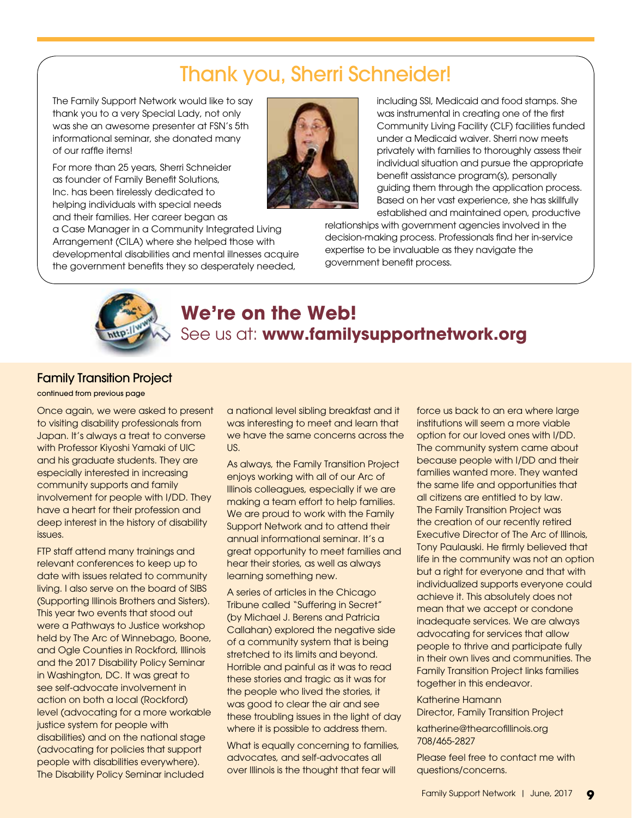# Thank you, Sherri Schneider!

The Family Support Network would like to say thank you to a very Special Lady, not only was she an awesome presenter at FSN's 5th informational seminar, she donated many of our raffle items!

For more than 25 years, Sherri Schneider as founder of Family Benefit Solutions, Inc. has been tirelessly dedicated to helping individuals with special needs and their families. Her career began as

a Case Manager in a Community Integrated Living Arrangement (CILA) where she helped those with developmental disabilities and mental illnesses acquire the government benefits they so desperately needed,



including SSI, Medicaid and food stamps. She was instrumental in creating one of the first Community Living Facility (CLF) facilities funded under a Medicaid waiver. Sherri now meets privately with families to thoroughly assess their individual situation and pursue the appropriate benefit assistance program(s), personally guiding them through the application process. Based on her vast experience, she has skillfully established and maintained open, productive

relationships with government agencies involved in the decision-making process. Professionals find her in-service expertise to be invaluable as they navigate the government benefit process.



## **We're on the Web!** See us at: **www.familysupportnetwork.org**

#### Family Transition Project

continued from previous page

Once again, we were asked to present to visiting disability professionals from Japan. It's always a treat to converse with Professor Kiyoshi Yamaki of UIC and his graduate students. They are especially interested in increasing community supports and family involvement for people with I/DD. They have a heart for their profession and deep interest in the history of disability issues.

FTP staff attend many trainings and relevant conferences to keep up to date with issues related to community living. I also serve on the board of SIBS (Supporting Illinois Brothers and Sisters). This year two events that stood out were a Pathways to Justice workshop held by The Arc of Winnebago, Boone, and Ogle Counties in Rockford, Illinois and the 2017 Disability Policy Seminar in Washington, DC. It was great to see self-advocate involvement in action on both a local (Rockford) level (advocating for a more workable justice system for people with disabilities) and on the national stage (advocating for policies that support people with disabilities everywhere). The Disability Policy Seminar included

a national level sibling breakfast and it was interesting to meet and learn that we have the same concerns across the US.

As always, the Family Transition Project enjoys working with all of our Arc of Illinois colleagues, especially if we are making a team effort to help families. We are proud to work with the Family Support Network and to attend their annual informational seminar. It's a great opportunity to meet families and hear their stories, as well as always learning something new.

A series of articles in the Chicago Tribune called "Suffering in Secret" (by Michael J. Berens and Patricia Callahan) explored the negative side of a community system that is being stretched to its limits and beyond. Horrible and painful as it was to read these stories and tragic as it was for the people who lived the stories, it was good to clear the air and see these troubling issues in the light of day where it is possible to address them.

What is equally concerning to families, advocates, and self-advocates all over Illinois is the thought that fear will

force us back to an era where large institutions will seem a more viable option for our loved ones with I/DD. The community system came about because people with I/DD and their families wanted more. They wanted the same life and opportunities that all citizens are entitled to by law. The Family Transition Project was the creation of our recently retired Executive Director of The Arc of Illinois, Tony Paulauski. He firmly believed that life in the community was not an option but a right for everyone and that with individualized supports everyone could achieve it. This absolutely does not mean that we accept or condone inadequate services. We are always advocating for services that allow people to thrive and participate fully in their own lives and communities. The Family Transition Project links families together in this endeavor.

Katherine Hamann Director, Family Transition Project

katherine@thearcofillinois.org 708/465-2827

Please feel free to contact me with questions/concerns.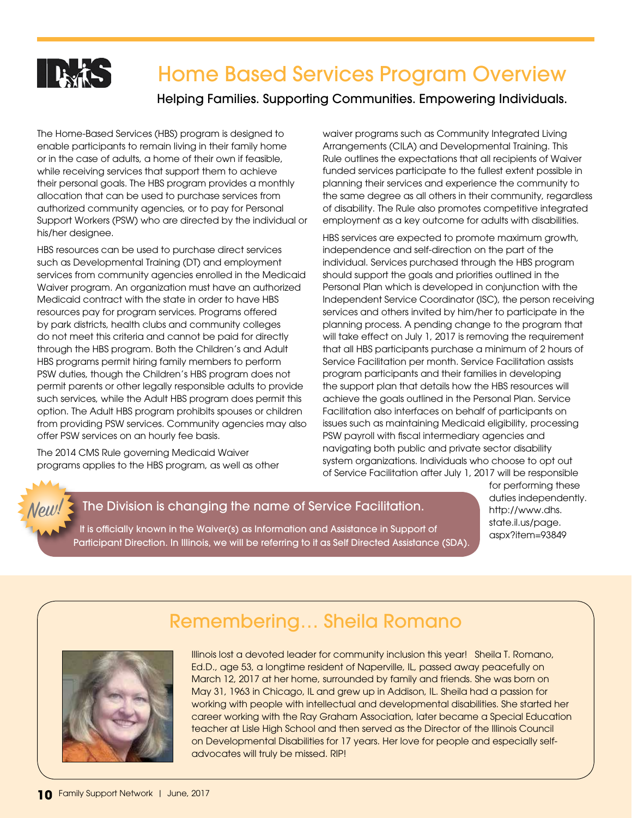

Helping Families. Supporting Communities. Empowering Individuals.

The Home-Based Services (HBS) program is designed to enable participants to remain living in their family home or in the case of adults, a home of their own if feasible, while receiving services that support them to achieve their personal goals. The HBS program provides a monthly allocation that can be used to purchase services from authorized community agencies, or to pay for Personal Support Workers (PSW) who are directed by the individual or his/her designee.

HBS resources can be used to purchase direct services such as Developmental Training (DT) and employment services from community agencies enrolled in the Medicaid Waiver program. An organization must have an authorized Medicaid contract with the state in order to have HBS resources pay for program services. Programs offered by park districts, health clubs and community colleges do not meet this criteria and cannot be paid for directly through the HBS program. Both the Children's and Adult HBS programs permit hiring family members to perform PSW duties, though the Children's HBS program does not permit parents or other legally responsible adults to provide such services, while the Adult HBS program does permit this option. The Adult HBS program prohibits spouses or children from providing PSW services. Community agencies may also offer PSW services on an hourly fee basis.

The 2014 CMS Rule governing Medicaid Waiver programs applies to the HBS program, as well as other waiver programs such as Community Integrated Living Arrangements (CILA) and Developmental Training. This Rule outlines the expectations that all recipients of Waiver funded services participate to the fullest extent possible in planning their services and experience the community to the same degree as all others in their community, regardless of disability. The Rule also promotes competitive integrated employment as a key outcome for adults with disabilities.

HBS services are expected to promote maximum growth, independence and self-direction on the part of the individual. Services purchased through the HBS program should support the goals and priorities outlined in the Personal Plan which is developed in conjunction with the Independent Service Coordinator (ISC), the person receiving services and others invited by him/her to participate in the planning process. A pending change to the program that will take effect on July 1, 2017 is removing the requirement that all HBS participants purchase a minimum of 2 hours of Service Facilitation per month. Service Facilitation assists program participants and their families in developing the support plan that details how the HBS resources will achieve the goals outlined in the Personal Plan. Service Facilitation also interfaces on behalf of participants on issues such as maintaining Medicaid eligibility, processing PSW payroll with fiscal intermediary agencies and navigating both public and private sector disability system organizations. Individuals who choose to opt out of Service Facilitation after July 1, 2017 will be responsible

#### The Division is changing the name of Service Facilitation. New!

It is officially known in the Waiver(s) as Information and Assistance in Support of Participant Direction. In Illinois, we will be referring to it as Self Directed Assistance (SDA). for performing these duties independently. http://www.dhs. state.il.us/page. aspx?item=93849

# Remembering… Sheila Romano



Illinois lost a devoted leader for community inclusion this year! Sheila T. Romano, Ed.D., age 53, a longtime resident of Naperville, IL, passed away peacefully on March 12, 2017 at her home, surrounded by family and friends. She was born on May 31, 1963 in Chicago, IL and grew up in Addison, IL. Sheila had a passion for working with people with intellectual and developmental disabilities. She started her career working with the Ray Graham Association, later became a Special Education teacher at Lisle High School and then served as the Director of the Illinois Council on Developmental Disabilities for 17 years. Her love for people and especially selfadvocates will truly be missed. RIP!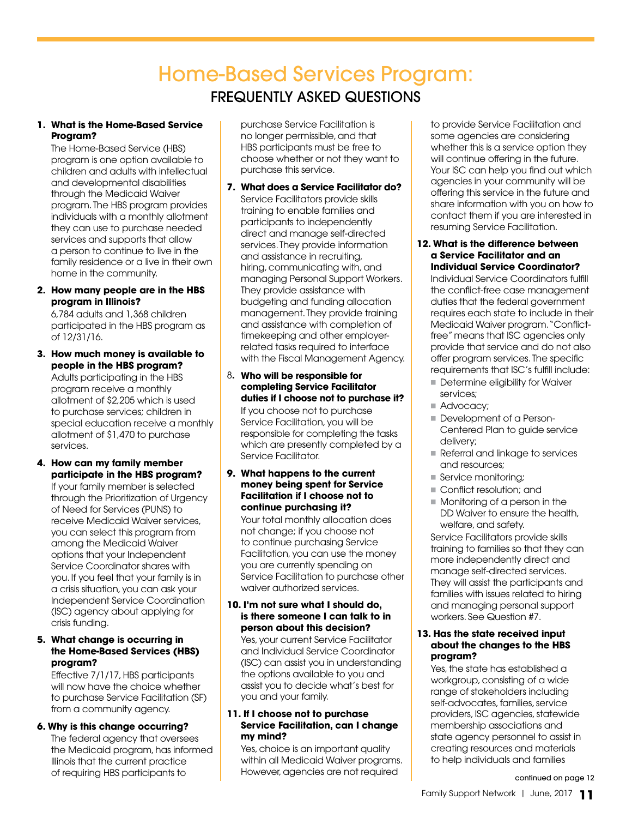# Home-Based Services Program: FREQUENTLY ASKED QUESTIONS

#### **1. What is the Home-Based Service Program?**

The Home-Based Service (HBS) program is one option available to children and adults with intellectual and developmental disabilities through the Medicaid Waiver program. The HBS program provides individuals with a monthly allotment they can use to purchase needed services and supports that allow a person to continue to live in the family residence or a live in their own home in the community.

#### **2. How many people are in the HBS program in Illinois?**

6,784 adults and 1,368 children participated in the HBS program as of 12/31/16.

**3. How much money is available to people in the HBS program?**

Adults participating in the HBS program receive a monthly allotment of \$2,205 which is used to purchase services; children in special education receive a monthly allotment of \$1,470 to purchase services.

#### **4. How can my family member participate in the HBS program?**

If your family member is selected through the Prioritization of Urgency of Need for Services (PUNS) to receive Medicaid Waiver services, you can select this program from among the Medicaid Waiver options that your Independent Service Coordinator shares with you. If you feel that your family is in a crisis situation, you can ask your Independent Service Coordination (ISC) agency about applying for crisis funding.

#### **5. What change is occurring in the Home-Based Services (HBS) program?**

Effective 7/1/17, HBS participants will now have the choice whether to purchase Service Facilitation (SF) from a community agency.

#### **6. Why is this change occurring?**

The federal agency that oversees the Medicaid program, has informed Illinois that the current practice of requiring HBS participants to

purchase Service Facilitation is no longer permissible, and that HBS participants must be free to choose whether or not they want to purchase this service.

**7. What does a Service Facilitator do?** Service Facilitators provide skills training to enable families and participants to independently direct and manage self-directed services. They provide information and assistance in recruiting, hiring, communicating with, and managing Personal Support Workers. They provide assistance with budgeting and funding allocation management. They provide training and assistance with completion of timekeeping and other employerrelated tasks required to interface with the Fiscal Management Agency.

#### 8**. Who will be responsible for completing Service Facilitator duties if I choose not to purchase it?** If you choose not to purchase Service Facilitation, you will be responsible for completing the tasks which are presently completed by a Service Facilitator.

#### **9. What happens to the current money being spent for Service Facilitation if I choose not to continue purchasing it?**

Your total monthly allocation does not change; if you choose not to continue purchasing Service Facilitation, you can use the money you are currently spending on Service Facilitation to purchase other waiver authorized services.

#### **10. I'm not sure what I should do, is there someone I can talk to in person about this decision?**

Yes, your current Service Facilitator and Individual Service Coordinator (ISC) can assist you in understanding the options available to you and assist you to decide what's best for you and your family.

#### **11. If I choose not to purchase Service Facilitation, can I change my mind?**

Yes, choice is an important quality within all Medicaid Waiver programs. However, agencies are not required

to provide Service Facilitation and some agencies are considering whether this is a service option they will continue offering in the future. Your ISC can help you find out which agencies in your community will be offering this service in the future and share information with you on how to contact them if you are interested in resuming Service Facilitation.

#### **12. What is the difference between a Service Facilitator and an Individual Service Coordinator?**

Individual Service Coordinators fulfill the conflict-free case management duties that the federal government requires each state to include in their Medicaid Waiver program. "Conflictfree" means that ISC agencies only provide that service and do not also offer program services. The specific requirements that ISC's fulfill include:

- Determine eligibility for Waiver services;
- Advocacy;
- **Development of a Person-**Centered Plan to guide service delivery;
- Referral and linkage to services and resources;
- Service monitoring;
- **Conflict resolution; and**
- $\blacksquare$  Monitoring of a person in the DD Waiver to ensure the health, welfare, and safety.

Service Facilitators provide skills training to families so that they can more independently direct and manage self-directed services. They will assist the participants and families with issues related to hiring and managing personal support workers. See Question #7.

#### **13. Has the state received input about the changes to the HBS program?**

Yes, the state has established a workgroup, consisting of a wide range of stakeholders including self-advocates, families, service providers, ISC agencies, statewide membership associations and state agency personnel to assist in creating resources and materials to help individuals and families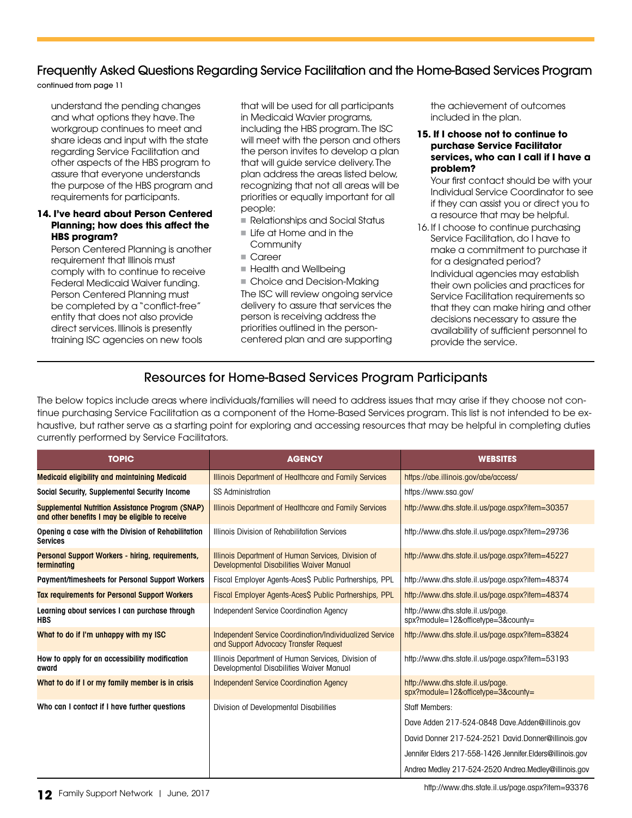### Frequently Asked Questions Regarding Service Facilitation and the Home-Based Services Program

continued from page 11

understand the pending changes and what options they have. The workgroup continues to meet and share ideas and input with the state regarding Service Facilitation and other aspects of the HBS program to assure that everyone understands the purpose of the HBS program and requirements for participants.

#### **14. I've heard about Person Centered Planning; how does this affect the HBS program?**

Person Centered Planning is another requirement that Illinois must comply with to continue to receive Federal Medicaid Waiver funding. Person Centered Planning must be completed by a "conflict-free" entity that does not also provide direct services. Illinois is presently training ISC agencies on new tools

that will be used for all participants in Medicaid Wavier programs, including the HBS program. The ISC will meet with the person and others the person invites to develop a plan that will guide service delivery. The plan address the areas listed below, recognizing that not all areas will be priorities or equally important for all people:

- n Relationships and Social Status
- **In Life at Home and in the Community**
- Career
- Health and Wellbeing

■ Choice and Decision-Making The ISC will review ongoing service delivery to assure that services the person is receiving address the priorities outlined in the personcentered plan and are supporting

the achievement of outcomes included in the plan.

#### **15. If I choose not to continue to purchase Service Facilitator services, who can I call if I have a problem?**

Your first contact should be with your Individual Service Coordinator to see if they can assist you or direct you to a resource that may be helpful.

16. If I choose to continue purchasing Service Facilitation, do I have to make a commitment to purchase it for a designated period? Individual agencies may establish their own policies and practices for Service Facilitation requirements so that they can make hiring and other decisions necessary to assure the availability of sufficient personnel to provide the service.

### Resources for Home-Based Services Program Participants

The below topics include areas where individuals/families will need to address issues that may arise if they choose not continue purchasing Service Facilitation as a component of the Home-Based Services program. This list is not intended to be exhaustive, but rather serve as a starting point for exploring and accessing resources that may be helpful in completing duties currently performed by Service Facilitators.

| <b>TOPIC</b>                                                                                               | <b>AGENCY</b>                                                                                    | <b>WEBSITES</b>                                                        |
|------------------------------------------------------------------------------------------------------------|--------------------------------------------------------------------------------------------------|------------------------------------------------------------------------|
| <b>Medicaid eligibility and maintaining Medicaid</b>                                                       | Illinois Department of Healthcare and Family Services                                            | https://abe.illinois.gov/abe/access/                                   |
| Social Security, Supplemental Security Income                                                              | SS Administration                                                                                | https://www.ssa.gov/                                                   |
| <b>Supplemental Nutrition Assistance Program (SNAP)</b><br>and other benefits I may be eligible to receive | Illinois Department of Healthcare and Family Services                                            | http://www.dhs.state.il.us/page.aspx?item=30357                        |
| Opening a case with the Division of Rehabilitation<br><b>Services</b>                                      | Illinois Division of Rehabilitation Services                                                     | http://www.dhs.state.il.us/page.aspx?item=29736                        |
| Personal Support Workers - hiring, requirements,<br>terminating                                            | Illinois Department of Human Services, Division of<br>Developmental Disabilities Waiver Manual   | http://www.dhs.state.il.us/page.aspx?item=45227                        |
| <b>Payment/timesheets for Personal Support Workers</b>                                                     | Fiscal Employer Agents-Aces\$ Public Partnerships, PPL                                           | http://www.dhs.state.il.us/page.aspx?item=48374                        |
| <b>Tax requirements for Personal Support Workers</b>                                                       | Fiscal Employer Agents-Aces\$ Public Partnerships, PPL                                           | http://www.dhs.state.il.us/page.aspx?item=48374                        |
| Learning about services I can purchase through<br><b>HBS</b>                                               | Independent Service Coordination Agency                                                          | http://www.dhs.state.il.us/page.<br>spx?module=12&officetype=3&county= |
| What to do if I'm unhappy with my ISC                                                                      | Independent Service Coordination/Individualized Service<br>and Support Advocacy Transfer Request | http://www.dhs.state.il.us/page.aspx?item=83824                        |
| How to apply for an accessibility modification<br>award                                                    | Illinois Department of Human Services, Division of<br>Developmental Disabilities Waiver Manual   | http://www.dhs.state.il.us/page.aspx?item=53193                        |
| What to do if I or my family member is in crisis                                                           | <b>Independent Service Coordination Agency</b>                                                   | http://www.dhs.state.il.us/page.<br>spx?module=12&officetype=3&county= |
| Who can I contact if I have further questions                                                              | Division of Developmental Disabilities                                                           | Staff Members:                                                         |
|                                                                                                            |                                                                                                  | Dave Adden 217-524-0848 Dave.Adden@illinois.gov                        |
|                                                                                                            |                                                                                                  | David Donner 217-524-2521 David.Donner@illinois.gov                    |
|                                                                                                            |                                                                                                  | Jennifer Elders 217-558-1426 Jennifer. Elders@illinois.gov             |
|                                                                                                            |                                                                                                  | Andrea Medley 217-524-2520 Andrea Medley@illinois.gov                  |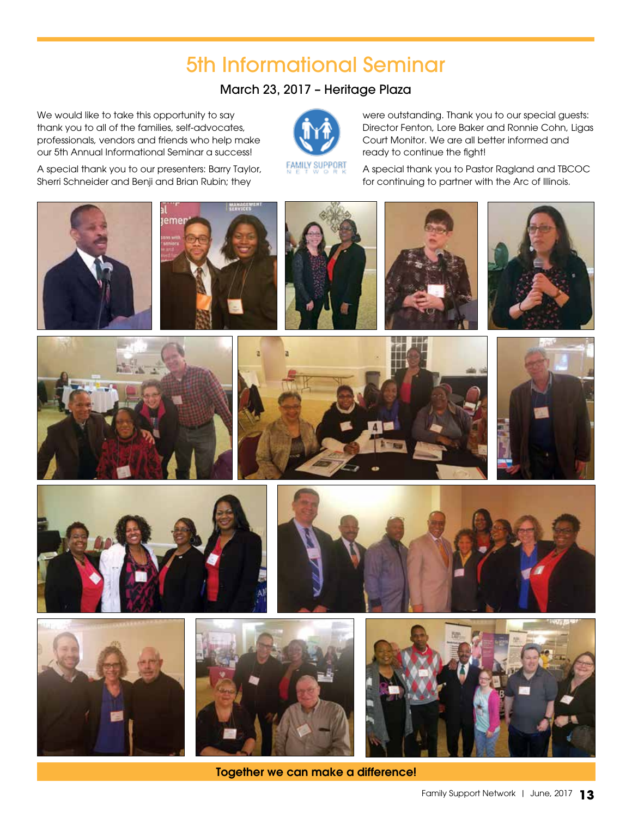# 5th Informational Seminar

### March 23, 2017 – Heritage Plaza

We would like to take this opportunity to say thank you to all of the families, self-advocates, professionals, vendors and friends who help make our 5th Annual Informational Seminar a success!

A special thank you to our presenters: Barry Taylor, Sherri Schneider and Benji and Brian Rubin; they

were outstanding. Thank you to our special guests: Director Fenton, Lore Baker and Ronnie Cohn, Ligas Court Monitor. We are all better informed and ready to continue the fight!

A special thank you to Pastor Ragland and TBCOC for continuing to partner with the Arc of Illinois.











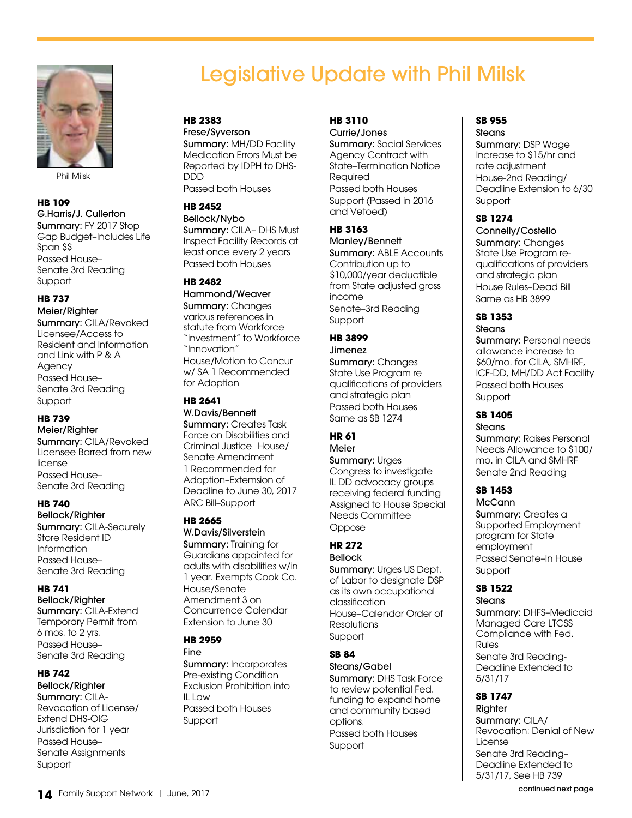

Phil Milsk

#### **HB 109**

G.Harris/J. Cullerton Summary: FY 2017 Stop Gap Budget–Includes Life Span \$\$ Passed House– Senate 3rd Reading **Support** 

#### **HB 737**

Meier/Righter Summary: CILA/Revoked Licensee/Access to Resident and Information and Link with P & A **Agency** Passed House– Senate 3rd Reading **Support** 

#### **HB 739**

Meier/Righter Summary: CILA/Revoked Licensee Barred from new license Passed House– Senate 3rd Reading

#### **HB 740**

Bellock/Righter Summary: CILA-Securely Store Resident ID Information Passed House– Senate 3rd Reading

#### **HB 741**

Bellock/Righter Summary: CILA-Extend Temporary Permit from 6 mos. to 2 yrs. Passed House– Senate 3rd Reading

#### **HB 742**

Bellock/Righter Summary: CILA-Revocation of License/ Extend DHS-OIG Jurisdiction for 1 year Passed House– Senate Assignments Support

# Legislative Update with Phil Milsk

### **HB 2383**

Frese/Syverson Summary: MH/DD Facility Medication Errors Must be Reported by IDPH to DHS-DDD Passed both Houses

#### **HB 2452**

Bellock/Nybo Summary: CILA– DHS Must Inspect Facility Records at least once every 2 years Passed both Houses

#### **HB 2482**

Hammond/Weaver Summary: Changes various references in statute from Workforce "investment" to Workforce "Innovation" House/Motion to Concur w/ SA 1 Recommended for Adoption

#### **HB 2641**

W.Davis/Bennett Summary: Creates Task Force on Disabilities and Criminal Justice House/ Senate Amendment 1 Recommended for Adoption–Extemsion of Deadline to June 30, 2017 ARC Bill–Support

#### **HB 2665**

W.Davis/Silverstein Summary: Training for Guardians appointed for adults with disabilities w/in 1 year. Exempts Cook Co. House/Senate Amendment 3 on Concurrence Calendar Extension to June 30

#### **HB 2959**

Fine Summary: Incorporates Pre-existing Condition Exclusion Prohibition into  $II$  Law Passed both Houses Support

### **HB 3110**

Currie/Jones Summary: Social Services Agency Contract with State–Termination Notice Required Passed both Houses Support (Passed in 2016 and Vetoed)

#### **HB 3163**

Manley/Bennett Summary: ABLE Accounts Contribution up to \$10,000/year deductible from State adjusted gross income Senate–3rd Reading Support

#### **HB 3899**

Jimenez Summary: Changes State Use Program re qualifications of providers and strategic plan Passed both Houses Same as SB 1274

#### **HR 61** Meier

Summary: Urges Congress to investigate IL DD advocacy groups receiving federal funding Assigned to House Special Needs Committee Oppose

### **HR 272**

Bellock Summary: Urges US Dept. of Labor to designate DSP as its own occupational classification House–Calendar Order of **Resolutions** Support

#### **SB 84**

Steans/Gabel Summary: DHS Task Force to review potential Fed. funding to expand home and community based options. Passed both Houses Support

#### **SB 955 Steans**

Summary: DSP Wage Increase to \$15/hr and rate adjustment House-2nd Reading/ Deadline Extension to 6/30 **Support** 

### **SB 1274**

Connelly/Costello Summary: Changes State Use Program requalifications of providers and strategic plan House Rules–Dead Bill Same as HB 3899

#### **SB 1353** Steans

Summary: Personal needs allowance increase to \$60/mo. for CILA, SMHRF, ICF-DD, MH/DD Act Facility Passed both Houses Support

### **SB 1405**

**Steans Summary: Raises Personal** Needs Allowance to \$100/ mo. in CILA and SMHRF Senate 2nd Reading

### **SB 1453**

**McCann** Summary: Creates a Supported Employment program for State employment Passed Senate–In House **Support** 

#### **SB 1522**

**Steans** Summary: DHFS–Medicaid Managed Care LTCSS Compliance with Fed. Rules Senate 3rd Reading-Deadline Extended to 5/31/17

### **SB 1747**

**Righter** Summary: CILA/ Revocation: Denial of New License Senate 3rd Reading– Deadline Extended to 5/31/17, See HB 739

14 Family Support Network | June, 2017

continued next page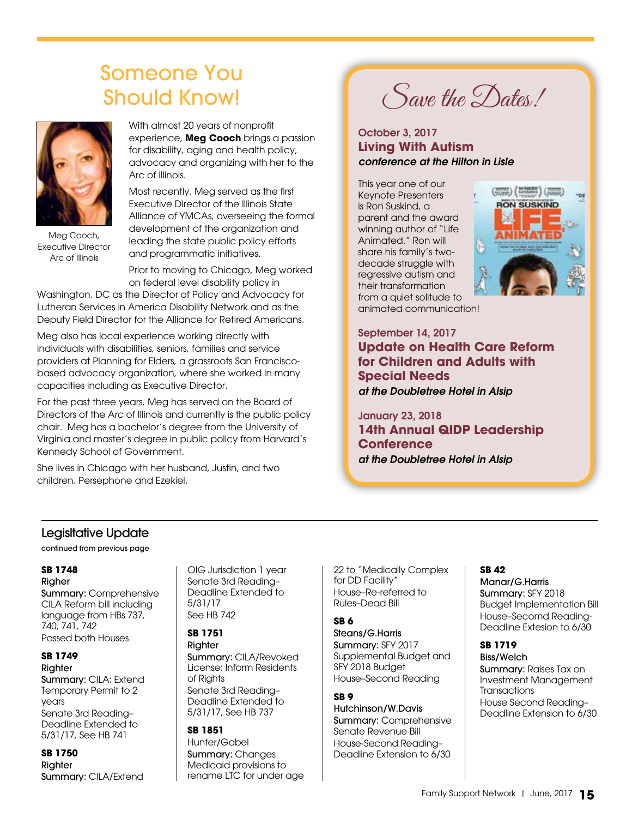# Someone You Should Know!



Meg Cooch, Executive Director Arc of Illinois

With almost 20 years of nonprofit experience, **Meg Cooch** brings a passion for disability, aging and health policy, advocacy and organizing with her to the Arc of Illinois.

Most recently, Meg served as the first Executive Director of the Illinois State Alliance of YMCAs, overseeing the formal development of the organization and leading the state public policy efforts and programmatic initiatives.

Prior to moving to Chicago, Meg worked on federal level disability policy in

Washington, DC as the Director of Policy and Advocacy for Lutheran Services in America Disability Network and as the Deputy Field Director for the Alliance for Retired Americans.

Meg also has local experience working directly with individuals with disabilities, seniors, families and service providers at Planning for Elders, a grassroots San Franciscobased advocacy organization, where she worked in many capacities including as Executive Director.

For the past three years, Meg has served on the Board of Directors of the Arc of Illinois and currently is the public policy chair. Meg has a bachelor's degree from the University of Virginia and master's degree in public policy from Harvard's Kennedy School of Government.

She lives in Chicago with her husband, Justin, and two children, Persephone and Ezekiel.

Save the Dates!

#### October 3, 2017 **Living With Autism** *conference at the Hilton in Lisle*

This year one of our Keynote Presenters is Ron Suskind, a parent and the award winning author of "Life Animated." Ron will share his family's twodecade struggle with regressive autism and their transformation from a quiet solitude to



animated communication!

September 14, 2017 **Update on Health Care Reform for Children and Adults with Special Needs** *at the Doubletree Hotel in Alsip*

January 23, 2018 **14th Annual QIDP Leadership Conference**  *at the Doubletree Hotel in Alsip*

### Legisltative Update

continued from previous page

### **SB 1748**

Righer

Summary: Comprehensive CILA Reform bill including language from HBs 737, 740, 741, 742 Passed both Houses

#### **SB 1749**

**Righter** Summary: CILA: Extend Temporary Permit to 2 years Senate 3rd Reading– Deadline Extended to 5/31/17, See HB 741

**SB 1750** Righter Summary: CILA/Extend OIG Jurisdiction 1 year Senate 3rd Reading– Deadline Extended to 5/31/17 See HB 742

### **SB 1751**

Righter Summary: CILA/Revoked License: Inform Residents of Rights Senate 3rd Reading– Deadline Extended to 5/31/17, See HB 737

#### **SB 1851**

Hunter/Gabel Summary: Changes Medicaid provisions to rename LTC for under age

22 to "Medically Complex for DD Facility" House–Re-referred to Rules–Dead Bill

#### **SB 6**

Steans/G.Harris Summary: SFY 2017 Supplemental Budget and SFY 2018 Budget House–Second Reading

#### **SB 9**

Hutchinson/W.Davis Summary: Comprehensive Senate Revenue Bill House-Second Reading– Deadline Extension to 6/30

#### **SB 42**

Manar/G.Harris Summary: SFY 2018 Budget Implementation Bill House–Secomd Reading-Deadline Extesion to 6/30

### **SB 1719**

Biss/Welch Summary: Raises Tax on Investment Management **Transactions** House Second Reading– Deadline Extension to 6/30